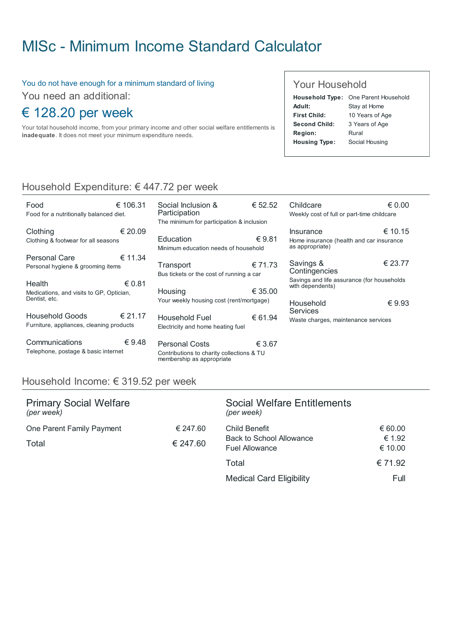# MISc - Minimum Income Standard [Calculator](http://www.misc.ie/)

#### You do not have enough for a minimum standard of living

You need an additional:

# € 128.20 per week

Your total household income, from your primary income and other social welfare entitlements is inadequate. It does not meet your minimum expenditure needs.

#### Your Household

|                      | Household Type: One Parent Household |
|----------------------|--------------------------------------|
| Adult:               | Stay at Home                         |
| First Child:         | 10 Years of Age                      |
| Second Child:        | 3 Years of Age                       |
| <b>Region:</b>       | Rural                                |
| <b>Housing Type:</b> | Social Housing                       |

## Household Expenditure: € 447.72 per week

| Food<br>Food for a nutritionally balanced diet.                     | € 106.31 | Social Inclusion &<br>Participation<br>The minimum for participation & inclusion                | € 52.52 | Childcare<br>Weekly cost of full or part-time childcare                         | $\epsilon$ 0.00 |
|---------------------------------------------------------------------|----------|-------------------------------------------------------------------------------------------------|---------|---------------------------------------------------------------------------------|-----------------|
| Clothing<br>Clothing & footwear for all seasons                     | € 20.09  | Education<br>Minimum education needs of household                                               | €9.81   | <b>Insurance</b><br>Home insurance (health and car insurance<br>as appropriate) | € 10.15         |
| Personal Care<br>Personal hygiene & grooming items                  | € 11.34  | Transport<br>Bus tickets or the cost of running a car                                           | € 71.73 | Savings &<br>Contingencies                                                      | € 23.77         |
| Health<br>Medications, and visits to GP, Optician,<br>Dentist, etc. | € 0.81   | Housing                                                                                         | € 35.00 | Savings and life assurance (for households<br>with dependents)                  |                 |
| Household Goods<br>Furniture, appliances, cleaning products         | € 21.17  | Your weekly housing cost (rent/mortgage)<br>Household Fuel<br>Electricity and home heating fuel | € 61.94 | Household<br>Services<br>Waste charges, maintenance services                    | $\epsilon$ 9.93 |
| Communications<br>Telephone, postage & basic internet               | € 9.48   | <b>Personal Costs</b><br>Contributions to charity collections & TU<br>membership as appropriate | € 3.67  |                                                                                 |                 |

### Household Income: € 319.52 per week

| <b>Primary Social Welfare</b><br>(per week) |                      | Social Welfare Entitlements<br>(per week)                                 |                              |
|---------------------------------------------|----------------------|---------------------------------------------------------------------------|------------------------------|
| One Parent Family Payment<br><b>Total</b>   | € 247.60<br>€ 247.60 | Child Benefit<br><b>Back to School Allowance</b><br><b>Fuel Allowance</b> | € 60.00<br>€ 1.92<br>€ 10.00 |
|                                             |                      | Total                                                                     | € 71.92                      |
|                                             |                      | <b>Medical Card Eligibility</b>                                           | Full                         |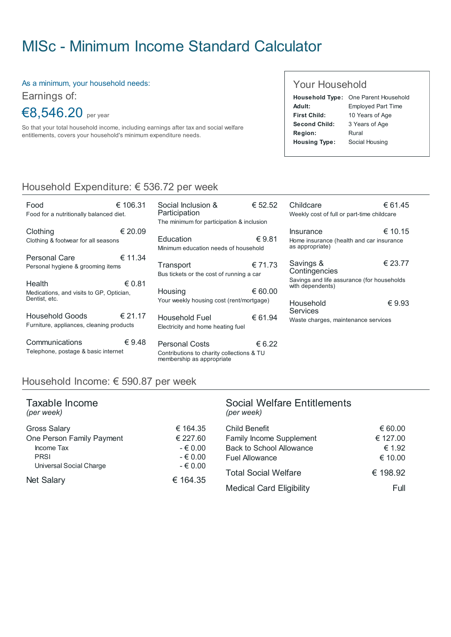# MISc - Minimum Income Standard [Calculator](http://www.misc.ie/)

As a minimum, your household needs:

Earnings of:

€8,546.20 per year

So that your total household income, including earnings after tax and social welfare entitlements, covers your household's minimum expenditure needs.

#### Your Household

|                      | Household Type: One Parent Household |
|----------------------|--------------------------------------|
| Adult:               | <b>Employed Part Time</b>            |
| <b>First Child:</b>  | 10 Years of Age                      |
| Second Child:        | 3 Years of Age                       |
| Region:              | Rural                                |
| <b>Housing Type:</b> | Social Housing                       |

## Household Expenditure: € 536.72 per week

| Food<br>Food for a nutritionally balanced diet.                     | € 106.31        | Social Inclusion &<br>Participation<br>The minimum for participation & inclusion                | € 52.52 | Childcare<br>Weekly cost of full or part-time childcare                         | € 61.45         |
|---------------------------------------------------------------------|-----------------|-------------------------------------------------------------------------------------------------|---------|---------------------------------------------------------------------------------|-----------------|
| Clothing<br>Clothing & footwear for all seasons                     | € 20.09         | Education<br>Minimum education needs of household                                               | € 9.81  | <b>Insurance</b><br>Home insurance (health and car insurance<br>as appropriate) | € 10.15         |
| Personal Care<br>Personal hygiene & grooming items                  | € 11.34         | Transport<br>Bus tickets or the cost of running a car                                           | € 71.73 | Savings &<br>Contingencies                                                      | € 23.77         |
| Health<br>Medications, and visits to GP, Optician,<br>Dentist, etc. | € 0.81          | Housing<br>Your weekly housing cost (rent/mortgage)                                             | € 60.00 | Savings and life assurance (for households<br>with dependents)<br>Household     | $\epsilon$ 9.93 |
| Household Goods<br>Furniture, appliances, cleaning products         | € 21.17         | Household Fuel<br>Electricity and home heating fuel                                             | € 61.94 | <b>Services</b><br>Waste charges, maintenance services                          |                 |
| Communications<br>Telephone, postage & basic internet               | $\epsilon$ 9.48 | <b>Personal Costs</b><br>Contributions to charity collections & TU<br>membership as appropriate | € 6.22  |                                                                                 |                 |

#### Household Income: € 590.87 per week

| Taxable Income<br>(per week) |          | <b>Social Welfare Entitlements</b><br>(per week) |          |
|------------------------------|----------|--------------------------------------------------|----------|
| <b>Gross Salary</b>          | € 164.35 | <b>Child Benefit</b>                             | € 60.00  |
| One Person Family Payment    | € 227.60 | Family Income Supplement                         | € 127.00 |
| Income Tax                   | $-60.00$ | <b>Back to School Allowance</b>                  | € 1.92   |
| <b>PRSI</b>                  | $-60.00$ | <b>Fuel Allowance</b>                            | € 10.00  |
| Universal Social Charge      | $-60.00$ |                                                  |          |
| <b>Net Salary</b>            | € 164.35 | <b>Total Social Welfare</b>                      | € 198.92 |
|                              |          | <b>Medical Card Eligibility</b>                  | Full     |